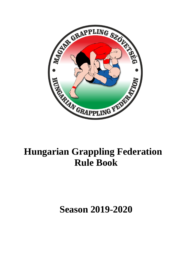

# **Hungarian Grappling Federation Rule Book**

**Season 2019-2020**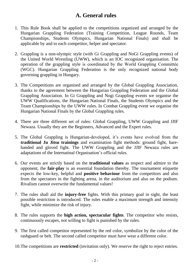# **A. General rules**

- 1. This Rule Book shall be applied to the competitions organized and arranged by the Hungarian Grappling Federation (Training Competition, League Rounds, Team Championships, Students Olympics, Hungarian National Finals) and shall be applicable by and to each competitor, helper and spectator.
- 2. Grappling is a non-olympic style (with Gi Grappling and NoGi Grappling events) of the United World Wrestling (UWW), which is an IOC recognized organisation. The operation of the grappling style is coordinated by the World Grappling Committée (WGC). Hungarian Grappling Federation is the only recognized national body governing grappling in Hungary.
- 3. The Competitions are organised and arranged by the Global Grappling Association, thanks to the agreement between the Hungarian Grappling Federation and the Global Grappling Association. In Gi Grappling and Nogi Grappling events we organise the UWW Qualifications, the Hungarian National Finals, the Students Olympics and the Team Championships by the UWW rules. In Combat Grappling event we organise the Hungarian National Finals by the Global Grappling rules.
- 4. There are three different set of rules: Global Grappling, UWW Grappling and JJIF Newaza. Usually they are the Beginners, Advanced and the Expert rules.
- 5. The Global Grappling is Hungarian-developed, it's events have evolved from the **traditional Ju Jitsu trainings** and examination fight methods: ground fight, barehanded and gloved fight. The UWW Grappling and the JJIF Newaza rules are adaptations of the Internatinal Organisation's official rules.
- 6. Our events are strictly based on the **traditional values** as respect and admire to the opponent, the **fair-play** is an essential foundation thereby. The tournament etiquette expects the low-key, helpful and **positive behaviour** from the competitors and also from the spectators in the fighting arena, in the auditorium and also on the podium. Rivalism cannot overwrite the fundamental values!
- 7. The rules shall aid the **injury-free** fights. With this primary goal in sight, the least possible restriction is introduced. The rules enable a maximum strength and intensity fight, while minimize the risk of injury.
- 8. The rules supports the **high action, spectacular fights**. The competitor who resists, continuously escapes, not willing to fight is punished by the rules.
- 9. The first called competitor represented by the red color, symbolize by the color of the rashguard or belt. The second called competitor must have wear a different color.
- 10.The competitions are **restricted** (invitation only). We reserve the right to reject entries.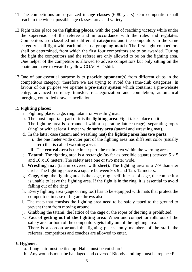- 11. The competitions are organized in **age classes** (6-80 years). Our competition shall reach to the widest possible age classes, area and variety.
- 12.Fight takes place on the **fighting places**, with the goal of reaching **victory** while under the supervision of the referee and in accordance with the rules and regulates. Competitors are classified into different **categories** and the competitors in the same category shall fight with each other in a grappling **match**. The first eight competitors shall be determined, from which the first four competitors are to be awarded. During the fight the competitors and the referee are only allowed to be on the fighting area. One helper of the competitor is allowed to advise competitors but only sitting on the chair, and have to wear the yellow COACH T-shirt.
- 13.One of our essential purpose is to **provide opponent**(s) from different clubs in the competitors category, therefore we are trying to avoid the same-club categories. In favour of our purpose we operate a **pre-entry system** which contains: a pre-website entry, advanced currency transfer, recategorization and completion, automatical merging, controlled draw, cancellation.

#### 15.**Fighting places:**

- a. Fighting place: cage, ring, tatami or wrestling mat.
- b. The most important part of it is the **fighting area**. Fight takes place on it.
- c. The fighting area is sorrounded with a separating lattice (cage), separating ropes (ring) or with at least 1 meter wide **safety area** (tatami and wrestling mat).
- d. In the latter case (tatami and wrestling mat) the **fighting area has two parts**:
	- i. the one meter wide outer part of the fighting area has different color (usually red) that is called **warning area**.
	- ii. The **central area** is the inner part, the main area within the warning area.
- e. **Tatami**: The fighting area is a rectangle (as far as possible square) between 5 x 5 and 10 x 10 meters. The safety area one or two meter wide.
- f. **Wrestling mat** (tatami covered with sheet): The fighting area is a 7-9 diameter circle. The fighting place is a square between 9 x 9 and 12 x 12 meters.
- g. **Cage, ring**: the fighting area is the cage, ring itself. In case of cage, the competitor is unable to leave the fighting area. If the fight is in the ring, it is essential to avoid falling out of the ring!
- h. Every fighting area (cage or ring too) has to be equipped with mats that protect the competitors in case of big arc throws also!
- i. The mats that consists the fighting area need to be safely taped to the ground to prevent them from moving around.
- j. Grabbing the tatami, the lattice of the cage or the ropes of the ring is prohibited.
- k. **Fact of getting out of the fighting area:** When one competitor rolls out of the safety area or both of the competitors gets fully out of the fighting area.
- l. There is a cordon around the fighting places, only members of the staff, the referees, competitors and coaches are allowed to enter.

#### 16.**Hygiene:**

- a. Long hair must be tied up! Nails must be cut short!
- b. Any wounds must be bandaged and covered! Bloody clothing must be replaced!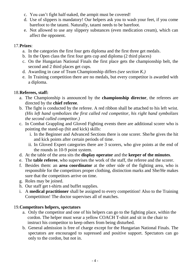- c. You can't fight half-naked, the armpit must be covered!
- d. Use of slippers is mandatory! Our helpers ask you to wash your feet, if you come barefoot to the tatami. Naturally, tatami needs to be barefoot.
- e. Not allowed to use any slippery substances (even medication cream), which can affect the opponent.

# 17.**Prizes**:

- a. In the categories the first four gets diploma and the first three get medals.
- b. In the Open class the first four gets cup and diploma (2 third places)
- c. On the Hungarian National Finals the first place gets the championship belt, the second and 2 third places get cups.
- d. Awarding in case of Team Championship differs *(see section K.)*
- e. In Training competition there are no medals, but every competitor is awarded with a diploma.

# 18.**Referees, staff:**

- a. The Championship is announced by the **championship director**, the referees are directed by the **chief referee**.
- b. The fight is conducted by the referee. A red ribbon shall be attached to his left wrist. *(His left hand symbolizes the first called red competitor, his right hand symbolizes the second called competitor.)*
- c. In Combat Grappling and Gloved Fighting events there are additional scorer who is pointing the stand-up (hit and kick) skills:
	- i. In the Beginner and Advanced Sections there is one scorer. She/he gives the hit and kick points after certain periods of time.
	- ii. In Gloved Expert categories there are 3 scorers, who give points at the end of the rounds in 10-9 point system.
- d. At the table of the area sits the **display operator** and the **keeper of the minutes**.
- e. The **table referee**, who supervises the work of the staff, the referee and the scorer.
- f. Besides them: an **area coordinator** at the other side of the fighting area, who is responsible for the competitors proper clothing, distinction marks and She/He makes sure that the competitors arrive on time.
- g. Roles may be joined.
- h. Our staff get t-shirts and buffet supplies.
- i. A **medical practitioner** shall be assigned to every competition! Also to the Training Competititon! The doctor supervises all of matches.

# 19.**Competitors helpers, spectators**

- a. Only the competitor and one of his helpers can go to the fighting place, within the cordon. The helper must wear a yellow COACH T-shirt and sit in the chair to instruct his competitor to keep others from being disturbed.
- b. General admission is free of charge except for the Hungarian National Finals. The spectators are encouraged to supressed and positive support. Spectators can go only to the cordon, but not in.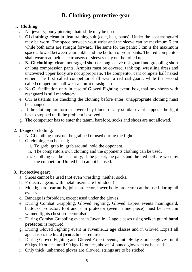# **B. Clothing, protective gear**

# 1. **Clothing**:

- a. No jewelry, body piercing, hair-slide may be used.
- b. **Gi clothing:** clean ju jitsu training suit (coat, belt, pants). Under the coat rashguard may be worn. The space between your wrist and the sleeve can be maximum 5 cm while both arms are straight forward. The same for the pants; 5 cm is the maximum space allowed between your ankle and the bottom of your pants. The red competitor shall wear read belt. The trousers or sleeves may not be rolled up.
- c. **NoGi clothing:** clean, not ragged short or long sleeve rashguard and grappling short or long compression pants. Armpits must be covered, tank top, wrestling dress and uncovered upper body are not appropriate. The competitor cant compete half naked either. The first called competitor shall wear a red rashguard, while the second called competitor shall wear a non-red rashguard.
- d. No Gi facilitation only in case of Gloved Fighting event: box, thai-box shorts with rashguard is still mandatory.
- e. Our assistants are checking the clothing before enter, unappropriate clothing must be changed.
- f. If the clothing are torn or covered by blood, or any similar event happens the fight has to stopped until the problem is solved.
- g. The competitor has to enter the tatami barefoot, socks and shoes are not allowed.

# 2. **Usage** of clothing:

- a. NoGi clothing must not be grabbed or used during the fight.
- b. Gi clothing can be used;
	- i. To grab, grab in, grab around, hold the opponent.
	- ii. The competitors own clothing and the opponents clothing can be used.
	- iii. Clothing can be used only, if the jacket, the pants and the tied belt are worn by the competitor. Untied belt cannot be used.

# 3. **Protective gear:**

- a. Shoes cannot be used (not even wrestling) neither socks.
- b. Protective gears with metal inserts are forbidden!
- c. Mouthguard, earmuffs, joint protector, lower body protector can be used during all events.
- d. Bandage is forbidden, except used under the gloves.
- e. During Combat Grappling, Gloved Fighting, Gloved Expert events mouthguard, buttocks protector, foot and shin protector (even in one piece) must be used, in women fights chest protector also!
- f. During Combat Grappling event in Juvenile1,2 age classes using seiken guard **hand protector** is required.
- g. During Gloved Fighting event in Juvenile1,2 age classes and in Gloved Expert all age classes the **head protector** is required.
- h. During Gloved Fighting and Gloved Expert events, until 46 kg 8 ounce gloves, until 60 kgs 10 ounce, until 90 kgs 12 ounce, above 14 ounce gloves must be used.
- i. Only thick, unharmed gloves are allowed, strings are to be sticked.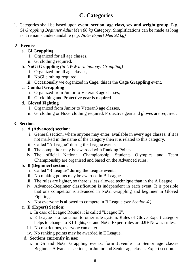# **C. Categories**

1. Categories shall be based upon **event, section, age class, sex and weight group**. E.g. *Gi Grappling Beginner Adult Men 80 kg* Category. Simplifications can be made as long as it remains understandable *(e.g. NoGi Expert Men 92 kg)*

# 2. **Events**:

# a. **Gi Grappling**

- i. Organized for all age classes,
- ii. Gi clothing required.
- b. **NoGi Grappling** *(in UWW terminology: Grappling)*
	- i. Organized for all age classes,
	- ii. NoGi clothing required,
	- iii. Occasionally we organized in Cage, this is the **Cage Grappling** event.

# c. **Combat Grappling**

- i. Organized from Junior to Veteran3 age classes,
- ii. Gi clothing and Protective gear is required.

# d. **Gloved Fighting**

- i. Organized from Junior to Veteran3 age classes,
- ii. Gi clothing or NoGi clothing required, Protective gear and gloves are required.

# 3. **Sections**:

# a. **A (Advanced) section**:

- i. General section, where anyone may enter, available in every age classes, if it is not marked in the name of the category then it is related to this category.
- ii. Called "A League" during the League events.
- iii. The competitor may be awarded with Ranking Points.
- iv. The official National Championship, Students Olympics and Team Championship are organised and based on the Advanced rules.

# b. **B (Beginner) section**:

- i. Called "B League" during the League events.
- ii. No ranking points may be awarded in B League.
- iii. The rules are lighter, so there is less allowed technique than in the A League.
- iv. Advanced-Beginner classification is independent in each event. It is possible that one competitor is advanced in NoGi Grappling and beginner in Gloved Fighting.
- v. Not everyone is allowed to compete in B League *(see Section 4.)*.

# **c. E (Expert) Section:**

- i. In case of League Rounds it is called "League E".
- ii. E League is a transition to other rule-system. Rules of Glove Expert category helps to change to K1 fights, Gi and NoGi Expert rules are JJIF Newaza rules.
- iii. No restrictions, everyone can enter.
- iv. No ranking points may be awarded in E League.

# d. **Sections currently in use**:

i. In Gi and NoGi Grappling events: form Juvenile1 to Senior age classes Beginner-Advanced sections, in Junior and Senior age classes Expert section.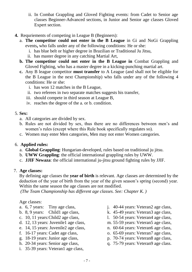- ii. In Combat Grappling and Gloved Fighting events: from Cadet to Senior age classes Beginner-Advanced sections, in Junior and Senior age classes Gloved Expert section.
- **4.** Requriements of competing in League B (Beginners):
	- a. **The competitor could not enter in the B League** in Gi and NoGi Grappling events**,** who falls under any of the following conditions: He or she:
		- i. has blue belt or higher degree in Brazilian or Traditional Ju Jitsu,
		- ii. has master degree in any catching Martial Art,
	- **b. The competitor could not enter in the B League in** Combat Grappling and Gloved Fighting, who has a master degree in a kicking-punching martial art.
	- **c.** Any B league competitor **must transfer** to A League (and shall not be eligible for the B League in the next Championship) who falls under any of the following 4 conditions: He or she:
		- i. has won 12 matches in the B League,
		- ii. two referees in two separate matches suggests his transfer,
		- iii. should compete in third season at League B,
		- iv. reaches the degree of the a. or b. condition.

# 5. **Sex:**

- a. All categories are divided by sex.
- b. Rules are not divided by sex, thus there are no differences between men's and women's rules (except where this Rule book specifically regulates so).
- c. Women may enter Men categories, Men may not enter Women categories.

# 6. **Applied rules:**

- a. **Global Grappling**: Hungarian-developed, rules based on traditional ju jitsu.
- b. **UWW Grappling**: the official international grappling rules by UWW.
- c. **JJIF Newaza**: the official international ju-jitsu ground fighting rules by JJIF.

# 7. **Age classes:**

By defining age classes the **year of birth** is relevant. Age classes are determined by the deduction of the year of birth from the year of the given season's spring (second) year. Within the same season the age classes are not modified.

*(The Team Championship has different age classes. See: Chapter K. )*

Age classes:

- a. 6, 7 years: Tiny age class,
- b. 8, 9 years: Child1 age class,
- c. 10, 11 years:Child2 age class,
- d. 12, 13 years: Juvenile1 age class,
- e. 14, 15 years: Juvenile2 age class,
- f. 16-17 years: Cadet age class,
- g. 18-19 years: Junior age class,
- h. 20-34 years: Senior age class,
- i. 35-39 years: Veteran1 age class,
- j. 40-44 years: Veteran2 age class,
- k. 45-49 years: Veteran3 age class,
- l. 50-54 years: Veteran4 age class,
- m. 55-59 years: Veteran5 age class,
- n. 60-64 years: Veteran6 age class,
- o. 65-69 years: Veteran7 age class,
- p. 70-74 years: Veteran8 age class,
- q. 75-79 years: Veteran9 age class.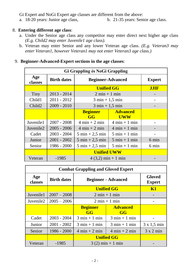Gi Expert and NoGi Expert age classes are different from the above:

a. 18-20 years: Junior age class, b. 21-35 years: Senior age class.

# 8. **Entering different age class**:

- a. Under the Senior age class any competitor may enter direct next higher age class *(E.g. Child2 may enter Juvenile1 age class).*
- b. Veteran may enter Senior and any lower Veteran age class. *(E.g. Veteran3 may enter Veteran1, however Veteran1 may not enter Veteran3 age class.)*

#### 9. **Beginner-Advanced-Expert sections in the age classes**:

| Gi Grappling és NoGi Grappling |                    |                                   |                                 |               |
|--------------------------------|--------------------|-----------------------------------|---------------------------------|---------------|
| Age<br>classes                 | <b>Birth dates</b> | <b>Beginner-Advanced</b>          |                                 | <b>Expert</b> |
|                                |                    | <b>Unified GG</b>                 |                                 | <b>JJIF</b>   |
| Tiny                           | $2013 - 2014$      | $2 \text{ min} + 1 \text{ min}$   |                                 |               |
| Child1                         | $2011 - 2012$      | $3 \text{ min} + 1,5 \text{ min}$ |                                 |               |
| Child <sub>2</sub>             | $2009 - 2010$      | $3 \text{ min} + 1,5 \text{ min}$ |                                 |               |
|                                |                    | <b>Beginner</b><br>GG             | <b>Advanced</b><br><b>UWW</b>   |               |
| Juvenile1                      | $2007 - 2008$      | $4 \text{ min} + 2 \text{ min}$   | $4 \text{ min} + 1 \text{ min}$ |               |
| Juvenile2                      | $2005 - 2006$      | $4 \text{ min} + 2 \text{ min}$   | $4 \text{ min} + 1 \text{ min}$ |               |
| Cadet                          | $2003 - 2004$      | $5 \text{ min} + 2.5 \text{ min}$ | $5 \text{ min} + 1 \text{ min}$ |               |
| Junior                         | $2001 - 2002$      | $5 \text{ min} + 2.5 \text{ min}$ | $5 \text{ min} + 1 \text{ min}$ | 6 min         |
| Senior                         | 1986 - 2000        | $5 \text{ min} + 2.5 \text{ min}$ | $5 \text{ min} + 1 \text{ min}$ | 6 min         |
|                                |                    | <b>Unified UWW</b>                |                                 |               |
| Veteran                        | $-1985$            | $4(3,2)$ min + 1 min              |                                 |               |

| <b>Combat Grappling and Gloved Expert</b> |                    |                                 |                                 |                                |
|-------------------------------------------|--------------------|---------------------------------|---------------------------------|--------------------------------|
| Age<br>classes                            | <b>Birth dates</b> | <b>Beginner - Advanced</b>      |                                 | <b>Gloved</b><br><b>Expert</b> |
|                                           |                    | <b>Unified GG</b>               |                                 | <b>K1</b>                      |
| Juvenile1                                 | $2007 - 2008$      | $2 \text{ min} + 1 \text{ min}$ |                                 |                                |
| Juvenile2                                 | $2005 - 2006$      | $2 \text{ min} + 1 \text{ min}$ |                                 |                                |
|                                           |                    | <b>Beginner</b><br>GG           | <b>Advanced</b><br>GG           |                                |
| Cadet                                     | $2003 - 2004$      | $3 \text{ min} + 1 \text{ min}$ | $3 \text{ min} + 1 \text{ min}$ |                                |
| Junior                                    | $2001 - 2002$      | $3 \text{ min} + 1 \text{ min}$ | $3 \text{ min} + 1 \text{ min}$ | $3 \times 1,5$ min             |
| Senior                                    | $1986 - 2000$      | $4 \text{ min} + 2 \text{ min}$ | $4 \text{ min} + 2 \text{ min}$ | $3 \times 2$ min               |
|                                           |                    | <b>Unified GG</b>               |                                 |                                |
| Veteran                                   | $-1985$            | $3(2)$ min + 1 min              |                                 |                                |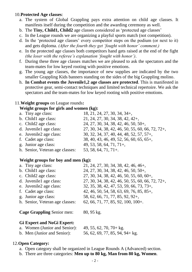#### 10.**Protected Age classes**:

- a. The system of Global Grappling pays extra attention on child age classes. It manifests itself during the competition and the awarding ceremony as well.
- b. The **Tiny, Child1, Child2** age classes considered as 'protected age classes'
- c. In the League rounds we are organizing a playful sports match (not competition).
- d. In the 'protected age classes' every competitor steps on the podium (or next to it) and gets diploma. *(After the fourth they get 'fought with honor' comment.)*
- e. In the protected age classes both competitors hand gets raised at the end of the fight *(the loser with the referee's explanation 'fought with honor').*
- f. During these three age classes matches we are pleased to ask the spectators and the team-mates for low keyed rooting with positive emotions.
- g. The young age classes, the importance of new supplies are indicated by the two smaller Grappling Kids banners standing on the sides of the big Grappling molino.
- h. **In Combat events the Juvenile1,2 age classes are protected**. This is manifested in protective gear, semi-contact techniques and limited technical repertoire. We ask the spectators and the team-mates for low keyed rooting with positive emotions.

# 11.**Weight groups** on League rounds**:**

#### **Weight groups for girls and women (kg):**

| a. Tiny age class:              | 18, 21, 24, 27, 30, 34, 34+,                     |
|---------------------------------|--------------------------------------------------|
| b. Child1 age class:            | $21, 24, 27, 30, 34, 38, 42, 42+,$               |
| c. Child 2age class:            | 24, 27, 30, 34, 38, 42, 46, 50, 50+,             |
| d. Juvenile1 age class:         | 27, 30, 34, 38, 42, 46, 50, 55, 60, 66, 72, 72+, |
| e. Juvenile2 age class:         | 30, 32, 34, 37, 40, 44, 48, 52, 57, 57+,         |
| f. Cadet age class:             | 38, 40, 43, 46, 49, 52, 56, 60, 65, 65+,         |
| g. Junior age class:            | $49, 53, 58, 64, 71, 71+,$                       |
| h. Senior, Veteran age classes: | $53, 58, 64, 71, 71 +$ .                         |

# **Weight groups for boy and men (kg):**

| a. Tiny age class:              | 21, 24, 27, 30, 34, 38, 42, 46, 46+,             |
|---------------------------------|--------------------------------------------------|
| b. Child1 age class:            | 24, 27, 30, 34, 38, 42, 46, 50, 50+,             |
| c. Child2 age class:            | 27, 30, 34, 38, 42, 46, 50, 55, 60, 60+,         |
| d. Juvenile1 age class:         | 27, 30, 34, 38, 42, 46, 50, 55, 60, 66, 72, 72+, |
| e. Juvenile2 age class:         | 32, 35, 38, 42, 47, 53, 59, 66, 73, 73+,         |
| f. Cadet age class:             | 42, 46, 50, 54, 58, 63, 69, 76, 85, 85+,         |
| g. Junior age class:            | 58, 62, 66, 71, 77, 85, 92, 92+,                 |
| h. Senior, Veteran age classes: | 62, 66, 71, 77, 85, 92, 100, 100+.               |
|                                 |                                                  |

**Cage Grappling** Senior men: 80, 95 kg.

# **Gi Expert and NoGi Expert:**

| a. Women (Junior and Senior): | $49, 55, 62, 70, 70 + kg.$      |
|-------------------------------|---------------------------------|
| b. Men (Junior and Senior):   | 56, 62, 69, 77, 85, 94, 94+ kg. |

# 12.**Open Category:**

- a. Open category shall be organized in League Rounds A (Advanced) section.
- b. There are three categories: **Men up to 80 kg, Man from 80 kg, Women**.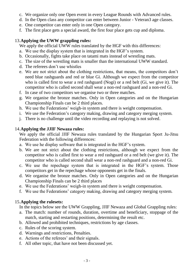- c. We organize only one Open event in every League Rounds with Advanced rules.
- d. In the Open class any competitor can enter between Junior Veteran3 age classes.
- e. One competitor can enter only in one Open category.
- f. The first place gets a special award, the first four place gets cup and diploma.

# 13.**Applying the UWW grappling rules:**

We apply the official UWW rules translated by the HGF with this differences:

- a. We use the display system that is integrated in the HGF's system.
- b. Occasionally, fights take place on tatami mats instead of wrestling mats.
- c. The size of the wrestling mats is smaller than the international UWW standard.
- d. The referees don't use whistles
- e. We are not strict about the clothing restrictions, that means, the competitors don't need blue rashguards and red or blue Gi. Although we expect from the competitor who is called first to wear a red rashguard (Nogi) or a red belt (Gi, we give it). The competitor who is called second shall wear a non-red rashguard and a non-red Gi.
- f. In case of two competitors we organise two or three matches.
- g. We organise the bronze matches. Only in Open categories and on the Hungarian Championship Finals can be 2 third places.
- h. We use the Federations' weigh-in system and there is weight compensation.
- i. We use the Federation's category making, drawing and category merging system.
- j. There is no challenge until the video recording and replaying is not solved.

# 14.**Applying the JJIF Newaza rules:**

We apply the official JJIF Newaza rules translated by the Hungarian Sport Ju-Jitsu Federation with the following differences:

- a. We use he display software that is integrated in the HGF's system.
- b. We are not strict about the clothing restrictions, although we expect from the competitor who is called first to wear a red rashguard or a red belt (we give it). The competitor who is called second shall wear a non-red rashguard and a non-red Gi.
- c. We use the repechage system that is integrated in the HGF's system. Those competitors get in the repechage whose opponents get in the finals.
- d. We organise the bronze matches. Only in Open categories and on the Hungarian Championship Finals can be 2 third places
- e. We use the Federations' weigh-in system and there is weight compensation.
- f. We use the Federations' category making, drawing and category merging system.

# 15.**Applying the rulesets:**

In the topics below see the UWW Grappling, JJIF Newaza and Global Grappling rules:

- a. The match: number of rounds, duration, overtime and beneficiary, stoppage of the match, starting and restarting positions, determining the result etc.
- b. Allowed and prohibited techniques, restrictions by age classes.
- c. Rules of the scoring system.
- d. Warnings and restrictions, Penalties.
- e. Actions of the referees' and their signals.
- f. All other topic, that have not been discussed yet.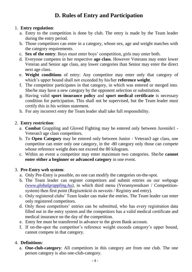# **D. Rules of Entry and Participation**

# 1. **Entry regulation**:

- a. Entry to the competition is done by club. The entry is made by the Team leader during the entry period.
- b. Those competitors can enter in a category, whose sex, age and weight matches with the category requirements.
- c. **Sex of the entry**: Boys must enter boys' competition, girls may enter both.
- d. Everyone competes in her respective **age class**. However Veterans may enter lower Veteran and Senior age class, any lower categories than Senior may enter the direct next age class.
- e. **Weight conditions** of entry: Any competitor may enter only that category of which's upper bound shall not exceeded by his/her **reference weight**.
- f. The competitor participates in that category, in which was entered or merged into. She/he may have a new category by the opponent selection or substitution.
- g. Having valid **sport insurance policy** and **sport medical certificate** is necessary condition for participation. This shall not be supervised, but the Team leader must certify this in his written statement.
- h. For any incorrect entry the Team leader shall take full responsibility.

# 2. **Entry restriction**:

- a. **Combat** Grappling and Gloved Fighting may be entered only between Juvenile1 Veteran3 age class competitors.
- b. To **Open Category** may be entered only between Junior Veteran3 age class, one competitor can enter only one category, in the -80 category only those can compete whose reference weight does not exceed the 80 kilogram.
- c. Within an event a competitor may enter maximum two categories. She/he **cannot enter either a beginner or advanced category** in one event.

# 3. **Pre-Entry web system**:

- a. Only Pre-Entry is possible, no one can modify the categories on-the-spot.
- b. The Team leader can register competitors and submit entries on our webpage *[\(www.globalgrappling.hu\)](http://www.globalgrappling.hu/)*, in which third menu (Versenyrendszer / Competitionsystem) then first point (Regisztráció és nevezés / Registry and entry).
- c. Only registered clubs' Team leader can make the entries. The Team leader can enter only registered competitors.
- d. Only those competitors' entries can be submitted, who has every registration data filled out in the entry system and the competitors has a valid medical certificate and medical insurance on the day of the competition.
- e. Entry fee must be transferred in advance to the given Bank account.
- f. If on-the-spot the competitor's reference weight exceeds category's upper bound, cannot compete in that category.

# 4. **Definitions**:

a. **One-club-category**: All competitors in this category are from one club. The one person category is also one-club-category.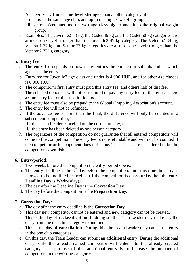#### b. A category is **at-most-one-level-stronger** than another category, if

- i. it is in the same age class and up to one higher weight group,
- ii. or one (veterans one or two) age class higher and fit to the original weight group.
- c. Examples: The Juvenile2 53 kg, the Cadet 46 kg and the Cadet 50 kg categories are at-most-one-level-stronger than the Juvenile2 47 kg category. The Veteran2 84 kg, Veteran1 77 kg and Senior 77 kg categories are at-most-one-level stronger than the Veteran2 77 kg category.

# 5. **Entry fee**:

- a. The entry fee depends on how many entries the competitor submits and in which age class the entry is.
- b. Entry fee for Juvenile2 age class and under is 4,000 HUF, and for other age classes is 6,000 HUF.
- c. The competitor's first entry must paid this entry fee, and others half of this fee.
- d. The selected opponent will not be required to pay any entry fee for that entry. There are no entry fee for the substitution too.
- e. The entry fee must also be prepaid to the Global Grappling Association's account.
- f. The entry fee will not be refunded.
- g. If the advance fee is more than the final, the difference will only be counted in a subsequent competition, if
	- i. the Team Leader cancelled on the correction day, or
	- ii. the entry has been deleted as one person category.
- h. The organizers of the competition do not guarantee that all entered competitors will come to the competition. The entry fee is non-refundable and will not be counted if the competitor or his opponent does not come. These cases are considered to be the competitor's own risk.

# **6. Entry-period:**

- a. Two weeks before the competition the entry-period opens.
- b. The entry deadline is the  $3<sup>rd</sup>$  day before the competition, until this time the entry is allowed to be modified, cancelled (if the competition is on Saturday then the entry **Deadline Day** is Wednesday).
- c. The day after the Deadline Day is the **Correction Day**.
- d. The day before the competition is the **Preparation Day**.

# **7. Correction Day:**

- a. The day after the entry deadline is the **Correction Day**.
- b. This day new competitor cannot be entered and new category cannot be created.
- c. This is the day of **reclassification**. In doing so, the Team Leader may reclassify the entry from the one club category to another.
- d. This is the day of **cancellation**. During this, the Team Leader may cancel the entry in the one club categories.
- e. On this day, the Team Leader can submit an **additional entry**. During the additional entry, only the already named competitor will enter into the already created category. The purpose of this additional entry is to increase the number of competitors in the existing categories.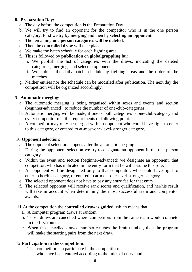# **8. Preparation Day:**

- a. The day before the competition is the Preparation Day.
- b. We will try to find an opponent for the competitor who is in the one person category. First we try by **merging** and then by **selecting an opponent**.
- c. The remaining **one person categories will be deleted**.
- d. Then the **controlled draw** will take place.
- e. We make the batch schedule for each fighting area.
- f. This is followed by **publication** on **globalgrappling.hu**:
	- i. We publish the list of categories with the draws, indicating the deleted categories, mergings and selected opponents,
	- ii. We publish the daily batch schedule by fighting areas and the order of the matches.
- g. Neither entries nor the schedule can be modified after publication. The next day the competition will be organized accordingly.

# 9. **Automatic merging**:

- a. The automatic merging is being organised within sexes and events and section (beginner-advanced), to reduce the number of one-club-categories.
- b. Automatic merging will be made, if one or both categories is one-club-category and every competitor met the requirements of following point.
- c. A competitor may only be merged with an opponent who could have right to enter to this category, or entered to at-most-one-level-stronger category.

# 10.**Opponent selection**:

- a. The opponent selection happens after the automatic merging.
- b. During the oppponent selection we try to designate an opponent in the one person category.
- c. Within the event and section (beginner-advanced) we designate an opponent, that competitor, who has indicated in the entry form that he will assume this role.
- d. An opponent will be designated only to that competitor, who could have right to enter to her/his category, or entered to at-most-one-level-stronger category.
- e. The selected opponent does not have to pay any entry fee for that entry.
- f. The selected opponent will receive rank scores and qualification, and her/his result will take in account when determining the most successful team and competitor awards.
- 11.At the competition the **controlled draw is guided**, which means that:
	- a. A computer program draws at random.
	- b. Those draws are cancelled where competitors from the same team would compete in the first round.
	- c. When the cancelled draws' number reaches the limit-number, then the program will make the starting pairs from the next draw.

# 12.**Participation in the competition**:

- a. That competitor can participate in the competition:
	- i. who have been entered according to the rules of entry, and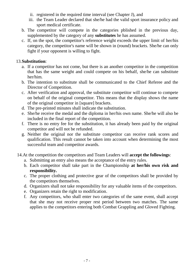- ii. registered in the required time interval (see Chapter J), and
- iii. the Team Leader declared that she/he had the valid sport insurance policy and sport medical certificate.
- b. The competitor will compete in the categories pblished in the previous day, supplemented by the category of any **substitutes** he has assumed.
- c. If, on the spot, the competitor's reference weight exceeds the upper limit of her/his category, the competitor's name will be shown in (round) brackets. She/he can only fight if your opponent is willing to fight.

#### 13.**Substitution**:

- a. If a competitor has not come, but there is an another competitor in the competition that has the same weight and could compete on his behalf, she/he can substitute her/him.
- b. The intention to substitute shall be communicated to the Chief Referee and the Director of Competition.
- c. After verification and approval, the substitute competitor will continue to compete on behalf of the original competitor. This means that the display shows the name of the original competitor in [square] brackets.
- d. The pre-printed minutes shall indicate the substitution.
- e. She/he receive the medal and the diploma in her/his own name. She/he will also be included in the final report of the competition.
- f. There is no entry fee for the substitution, it has already been paid by the original competitor and will not be refunded.
- g. Neither the original nor the substitute competitor can receive rank scores and qualification. This result cannot be taken into account when determining the most successful team and competitor awards.
- 14.At the competition the competitors and Team Leaders will **accept the followings**:
	- a. Submitting an entry also means the acceptance of the entry rules.
	- b. Each competitor shall take part in the Championship **at her/his own risk and responsibility.**
	- c. The proper clothing and protective gear of the competitors shall be provided by the competitors themselves.
	- d. Organizers shall not take responsibility for any valuable items of the competitors.
	- e. Organizers retain the right to modification.
	- f. Any competitors, who shall enter two categories of the same event, shall accept that she may not receive proper rest period between two matches. The same applies to the competitors entering both Combat Grappling and Gloved Fighting.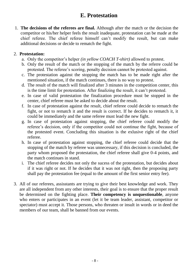# **E. Protestation**

1. **The decisions of the referees are final.** Although after the match or the decision the competitor or his/her helper feels the result inadequate, protestation can be made at the chief referee. The chief referee himself can't modify the result, but can make additional decisions or decide to rematch the fight.

# 2. **Protestation:**

- a. Only the competitor's helper *(in yellow COACH T-shirt)* allowed to protest.
- b. Only the result of the match or the stopping of the match by the referre could be protested. The referee's scoring, penalty decision cannot be protested against.
- c. The protestation against the stopping the match has to be made right after the mentioned situation, if the match continues, there is no way to protest.
- d. The result of the match will finalized after 3 minutes in the competition center, this is the time limit for protestation. After finalizing the result, it can't protested.
- e. In case of valid protestation the finalization procedure must be stopped in the center, chief referee must be asked to decide about the result.
- f. In case of protestation against the result, chief referee could decide to rematch the fight, or not to rematch it and the result is correct. If he decides to rematch it, it could be immediately and the same referee must lead the new fight.
- g. In case of protestation against stopping, the chief referee could modify the referee's decision, only if the competitor could not continue the fight, because of the protested event. Concluding this situation is the exlusive right of the chief referee.
- h. In case of protestation against stopping, the chief referee could decide that the stopping of the match by referee was unnecessary, if this decision is concluded, the party whom proposed the protestation, the chief referee shall give 0-4 points, and the match continues in stand.
- i. The chief referee decides not only the sucess of the protestation, but decides about if it was right or not. If he decides that it was not right, then the proposing party shall pay the protestation fee (equal to the amount of the first senior entry fee).
- 3. All of our referees, assisstants are trying to give their best knowledge and work. They are all independent from any other interests, their goal is to ensure that the proper result be determined on the fighting place. **Their competency is unquestionable**, anyone who enters or participates in an event (let it be team leader, assistant, competitor or spectator) must accept it. Those persons, who threaten or insult in words or in deed the members of our team, shall be banned from our events.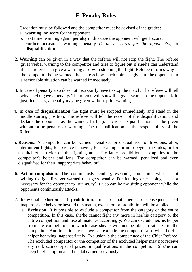# **F. Penalty Rules**

- 1. Gradation must be followed and the competitor must be advised of the grades:
	- a. **warning**, no score for the opponent
	- b. next time: warning again, **penalty** in this case the opponent will get 1 score,
	- c. Further occasions: warning, penalty *(1 or 2 scores for the opponents)*, or **disqualification**.
- 2. **Warning** can be given in a way that the referee will not stop the fight. The referee gives verbal warning to the competitor and tries to figure out if she/he can understand it. The referee can give a warning also with stopping the fight. Referee informs why is the competitor being warned, then shows how much points is given to the opponent. In a reasonable situation can be warned immediately.
- 3. In case of **penalty** also does not necessarily have to stop the match. The referee will tell why she/he gave a penalty. The referee will show the given scores to the opponent. In justified cases, a penalty may be given without prior warning.
- 4. In case of **disqualification** the fight must be stopped immediately and stand in the middle starting position. The referee will tell the reason of the disqualification, and declare the opponent as the winner. In flagrant cases disqualification can be given without prior penalty or warning. The disqualification is the responsibility of the Referee.
- 5. **Reasons**: A competitor can be warned, penalized or disqualified for frivolous, alibi, intermittent fights, for passive behavior, for escaping, for not obeying the rules, or for unsuitablet behavior on the fighting area. The latter prohibition also applies to the competitor's helper and fans. The competitor can be warned, penalized and even disqualified for their inappropriate behavior!
- 6. **Action-compulsion**: The continuously fending, escaping competitor who is not willing to fight first get warned than gets penalty. For fending or escaping it is not necessary for the opponent to 'run away' it also can be the sitting opponent while the opponents continuously attacks.
- 7. Individual **exlusion** and **prohibition**: In case that there are consequences of inappropriate behavior beyond this match, exclusion or prohibition will be applied.
	- a. **Exclusion:** It is possible to exclude a competitor from the category or the entire competition. In this case, she/he cannot fight any more in her/his category or the entire competition and lose all matches accordingly. We can exclude her/his helper from the competition, in which case she/he will not be able to sit next to the competitor. And in serious cases we can exclude the competitor also when her/his helper behaving inappropriately. Exclusion is the competence of the Chief Referee. The excluded competitor or the competitor of the excluded helper may not receive any rank scores, special prizes or qualifications in the competition. She/he can keep her/his diploma and medal earned previously.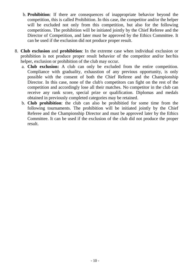- b. **Prohibition**: If there are consequences of inappropriate behavior beyond the competition, this is called Prohibition. In this case, the competitor and/or the helper will be excluded not only from this competition, but also for the following competitions. The prohibition will be initiated jointly by the Chief Referee and the Director of Competition, and later must be approved by the Ethics Committee. It can be used if the exclusion did not produce proper result.
- 8. **Club exclusion** and **prohibition**: In the extreme case when individual exclusion or prohibition is not produce proper result behavior of the competitor and/or her/his helper, exclusion or prohibition of the club may occur.
	- a. **Club exclusion:** A club can only be excluded from the entire competition. Compliance with graduality, exhaustion of any previous opportunity, is only possible with the consent of both the Chief Referee and the Championship Director. In this case, none of the club's competitors can fight on the rest of the competition and accordingly lose all their matches. No competitor in the club can receive any rank score, special prize or qualification. Diplomas and medals obtained in previously completed categories may be retained.
	- b. **Club prohibition**: the club can also be prohibitied for some time from the following tournaments. The prohibition will be initiated jointly by the Chief Referee and the Championship Director and must be approved later by the Ethics Committee. It can be used if the exclusion of the club did not produce the proper result.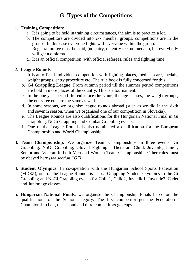# **G. Types of the Competitions**

# **1. Training Competition:**

- a. It is going to be held in training circumstances, the aim is to practice a lot.
- b. The competitors are divided into 2-7 member groups, competitions are in the groups. In this case everyone fights with everyone within the group.
- c. Registration fee must be paid, (no entry, no entry fee, no medals), but everybody will get a diploma.
- d. It is an official competition, with official referees, rules and fighting time.

# 2. **League Rounds**:

- a. It is an official individual competition with fighting places, medical care, medals, weight groups, entry procedure etc. The rule book is fully concerned for this.
- b. **G4 Grappling League**: From autumn period till the summer period competitions are hold in more places of the country. This is a tournament.
- c. In the one year period **the rules are the same**, the age classes, the weight groups, the entry fee etc. are the same as well.
- d. In some seasons, we organise league rounds abroad (such as we did in the sixth and seventh season, when we organised one of our competition in Slovakia).
- e. The League Rounds are also qualifications for the Hungarian National Final in Gi Grappling, NoGi Grappling and Combat Grappling events.
- f. One of the League Rounds is also nominated a qualification for the European Championship and World Championship.
- 3. **Team Championship:** We organize Team Championships in three events: Gi Grappling, NoGi Grappling, Gloved Fighting. There are Child, Juvenile, Junior, Senior and Veteran in both Men and Women Team Championship. Other rules must be obeyed here *(see section "O")*.
- 4. **Student Olympics:** In co-operation with the Hungarian School Sports Federation (MDSZ), one of the League Rounds is also a Grappling Student Olympics in the Gi Grappling and NoGi Grappling events for Child1, Child2, Juvenile1, Juvenile2, Cadet and Junior age classes.
- 5. **Hungarian National Finals**: we organise the Championship Finals based on the qualifications of the Senior category. The first competitor get the Federation's Championship belt, the second and third competitors get cups.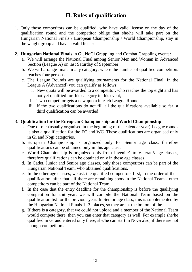# **H. Rules of qualification**

- 1. Only those competitors can be qualified, who have valid license on the day of the qualification round and the competitor oblige that she/he will take part on the Hungarian National Finals / European Championship / World Championship, stay in the weight group and have a valid license.
- **2. Hungarian National Finals** in Gi, NoGi Grappling and Combat Grappling events**:**
	- a. We will arrange the National Final among Senior Men and Woman in Advanced Section (League A) on last Saturday of September.
	- b. We will arrange finals in any category, where the number of qualified competitors reaches four persons.
	- c. The League Rounds are qualifying tournaments for the National Final. In the League A (Advanced) you can qualify as follows:
		- i. New quota will be awarded to a competitor, who reaches the top eight and has not yet qualified for this category in this event,
		- ii. Two competitor gets a new quota in each League Round.
		- iii. If the two qualifications do not fill all the qualifications available so far, a third qualification can be awarded.

# 3. **Qualification for the European Championship and World Championship**:

- a. One of our (usually organised in the beginning of the calendar year) League rounds is also a qualification for the EC and WC. These qualifications are organised only in Gi and Nogi categories.
- b. European Championship is organized only for Senior age class, therefore qualifications can be obtained only in this age class.
- c. World Championship is organized only from Juvenile1 to Veteran5 age classes, therefore qualifications can be obtained only in these age classes.
- d. In Cadet, Junior and Senior age classes, only those competitors can be part of the Hungarian National Team, who obtained qualifications.
- e. In the other age classes, we ask the qualified competitors first, in the order of their qualification, after that - if there are remaining spots in the National Team - other competitors can be part of the National Team.
- f. In the case that the entry deadline for the championship is before the qualifying competition for thit year, we will compile the National Team based on the qualification list for the previous year. In Senior age class, this is supplemented by the Hungarian National Finals 1.-3. places, so they are at the bottom of the list.
- g. If there is a category, that we could not upload and a member of the National Team would compete there, then you can enter that category as well. For example she/he qualified in Gi and entered only there, she/he can start in NoGi also, if there are not enough competitors.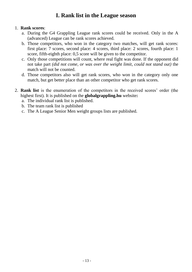# **I. Rank list in the League season**

#### 1. **Rank scores**:

- a. During the G4 Grappling League rank scores could be received. Only in the A (advanced) League can be rank scores achieved.
- b. Those competitors, who won in the category two matches, will get rank scores: first place: 7 scores, second place: 4 scores, third place: 2 scores, fourth place: 1 score, fifth-eighth place: 0,5 score will be given to the competitor.
- c. Only those competitions will count, where real fight was done. If the opponent did not take part *(did not come, or was over the weight limit, could not stand out)* the match will not be counted.
- d. Those competitors also will get rank scores, who won in the category only one match, but get better place than an other competitor who get rank scores.
- 2. **Rank list** is the enumeration of the competitors in the received scores' order (the highest first). It is published on the **globalgrappling.hu** website**:**
	- a. The individual rank list is published.
	- b. The team rank list is published
	- c. The A League Senior Men weight groups lists are published.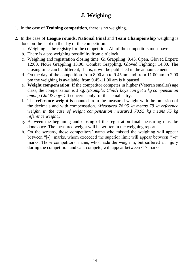# **J. Weighing**

- 1. In the case of **Training competition,** there is no weighing.
- 2. In the case of **League rounds, National Final** and **Team Championship** weighing is done on-the-spot on the day of the competition:
	- a. Weighing is the registry for the competition. All of the competitors must have!
	- b. There is a pre-weighing possibility from 8 o'clock.
	- c. Weighing and registration closing time: Gi Grappling: 9.45, Open, Gloved Expert: 12:00, NoGi Grappling 13.00, Combat Grappling, Gloved Fighting: 14.00. The closing time can be different, if it is, it will be published in the announcement
	- d. On the day of the competition from 8.00 am to 9.45 am and from 11.00 am to 2.00 pm the weighing is available, from 9.45-11.00 am is it paused
	- e. **Weight compensation**: If the competitor competes in higher (Veteran smaller) age class, the compensation is 3 kg. *(Example: Child1 boys can get 3 kg compensation among Child2 boys.)* It concerns only for the actual entry.
	- f. The **reference weight** is counted from the measured weight with the omission of the decimals and with compensation. *(Measured 78,95 kg means 78 kg reference weight, in the case of weight compensation measured 78,95 kg means 75 kg reference weight.)*
	- g. Between the beginning and closing of the registration final measuring must be done once. The measured weight will be written in the weighing report.
	- h. On the screens, those competitors' name who missed the weighing will appear between "[-]" marks, whom exceeded the superior limit will appear between "(-)" marks. Those competitors' name, who made the weigh in, but suffered an injury during the competition and cant compete, will appear between  $\langle \rangle$  marks.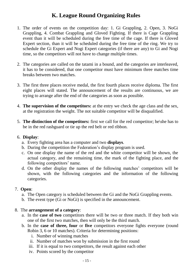# **K. League Round Organizing Rules**

- 1. The order of events on the competition day: 1. Gi Grappling, 2. Open, 3. NoGi Grappling, 4. Combat Grappling and Gloved Fighting. If there is Cage Grappling event than it will be scheduled during the free time of the cage. If there is Gloved Expert section, than it will be scheduled during the free time of the ring. We try to schedule the Gi Expert and Nogi Expert categories (if there are any) to Gi and Nogi time, so the competitors will not have to change multiple times.
- 2. The categories are called on the tatami in a bound, and the categories are interleaved, it has to be considered, that one competitor must have minimum three matches time breaks between two matches.
- 3. The first three places receive medal, the first fourth places receive diploma. The first eight places will stated. The announcement of the results are continuous, we are trying to arrange after the end of the categories as soon as possible.
- 4. **The supervision of the competitors:** at the entry we check the age class and the sex, at the registration the weight. The not suitable competitor will be disqualified.
- 5. **The distinction of the competitors:** first we call for the red competitor; he\she has to be in the red rashguard or tie up the red belt or red ribbon.

#### 6. **Display**:

- a. Every fighting area has a computer and two **displays**.
- b. During the competition the Federation's display program is used.
- c. On one display the name of the red and the white competitor will be shown, the actual category, and the remaining time, the mark of the fighting place, and the following competitors' name.
- d. On the other display the names of the following matches' competitors will be shown, with the following categories and the information of the following categories.

# 7. **Open**:

- a. The Open category is scheduled between the Gi and the NoGi Grappling events.
- b. The event type (Gi or NoGi) is specified in the announcement.

# 8. The **arrangement of a category**:

- a. In the **case of two** competitors there will be two or three match. If they both win one of the first two matches, then will only be the third match.
- b. In the **case of three, four** or **five** competitors everyone fights everyone (round Robin 3, 6 or 10 matches). Criteria for determining positions:
	- i. Number of winning matches
	- ii. Number of matches won by submission in the first round
	- iii. If it is equal to two competitors, the result against each other
	- iv. Points scored by the competitor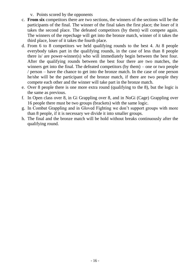- v. Points scored by the opponents
- c. **From six** competitors there are two sections, the winners of the sections will be the participants of the final. The winner of the final takes the first place; the loser of it takes the second place. The defeated competitors (by them) will compete again. The winners of the repechage will get into the bronze match, winner of it takes the third place, loser of it takes the fourth place.
- d. From 6 to 8 competitors we held qualifying rounds to the best 4. At 8 people everybody takes part in the qualifying rounds, in the case of less than 8 people there is/ are power-winner(s) who will immediately begin between the best four. After the qualifying rounds between the best four there are two matches, the winners get into the final. The defeated competitors (by them) – one or two people / person – have the chance to get into the bronze match. In the case of one person he/she will be the participant of the bronze match, if there are two people they compete each other and the winner will take part in the bronze match.
- e. Over 8 people there is one more extra round (qualifying to the 8), but the logic is the same as previous.
- f. In Open class over 8, in Gi Grappling over 8, and in NoGi (Cage) Grappling over 16 people there must be two groups (brackets) with the same logic.
- g. In Combat Grappling and in Gloved Fighting we don't support groups with more than 8 people, if it is necessary we divide it into smaller groups.
- h. The final and the bronze match will be hold without breaks continuously after the qualifying round.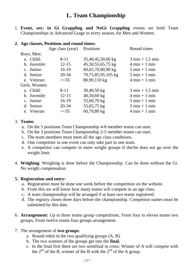1. **Event, sex: in Gi Grappling and NoGi Grappling** events we hold Team Championships in Advanced Leage in every season, for Men and Women.

#### **2. Age classes, Positions and round times:**

|                           |                    | Round times                       |
|---------------------------|--------------------|-----------------------------------|
|                           |                    |                                   |
| $8 - 11$                  | 35,40,45,50,60 kg  | $3 \text{ min} + 1,5 \text{ min}$ |
| $12 - 15$<br>b. Juvenile: | 45,50,55,65,75 kg  | $4 \text{ min} + 1 \text{ min}$   |
| $16-19$                   | 60,65,70,80,90 kg  | $5 \text{ min} + 1 \text{ min}$   |
| $20 - 34$                 | 70,75,85,95,105 kg | $5 \text{ min} + 1 \text{ min}$   |
| $>=35$                    | 80,90,110 kg       | $4 \text{ min} + 1 \text{ min}$   |
| Girls, Women:             |                    |                                   |
| $8 - 11$                  | $30,40,50$ kg      | $3 \text{ min} + 1,5 \text{ min}$ |
| $12 - 15$<br>b. Juvenile: | $40,50,60$ kg      | $4 \text{ min} + 1 \text{ min}$   |
| 16-19                     | 55,60,70 kg        | $5 \text{ min} + 1 \text{ min}$   |
| 20-34                     | 55,65,75 kg        | $5 \text{ min} + 1 \text{ min}$   |
| $>=35$                    | 60,70,80 kg        | $4 \text{ min} + 1 \text{ min}$   |
|                           |                    | Age class (year) Positions        |

#### 3. **Teams**:

- a. On the 5 positions Team Championship 4-8 member teams can start.
- b. On the 3 positions Team Championship 2-5 member teams can start.
- c. The team members must meet all the age class conditions.
- d. One competitor in one event can only take part in one team.
- e. A competitor can compete in more weight groups if she/he does not go over the weight limit.
- 4. **Weighing**: Weighing is done before the Championship. Can be done without the Gi. No weight compensation.

#### **5. Registration and entry:**

- a. Registration must be done one week before the competition on the website.
- b. From this we will know how many teams will compete in an age class.
- c. A team championship will be arranged if at least two teams registered.
- d. The registry closes three days before the championship. Competitor names must be submitted by this date.
- 6. **Arrangement:** Up to three teams group competitions, From four to eleven teams two groups, From twelve teams four groups arrangement.

#### 7. The arrangement of **two groups**:

- a. Round robin in the two qualifying groups (A, B).
- b. The two winners of the groups get into the **final.**
- c. In the final first there are two semifinal in cross: Winner of A will compete with the  $2<sup>nd</sup>$  of the B, winner of the B with the  $2<sup>nd</sup>$  of the A group.